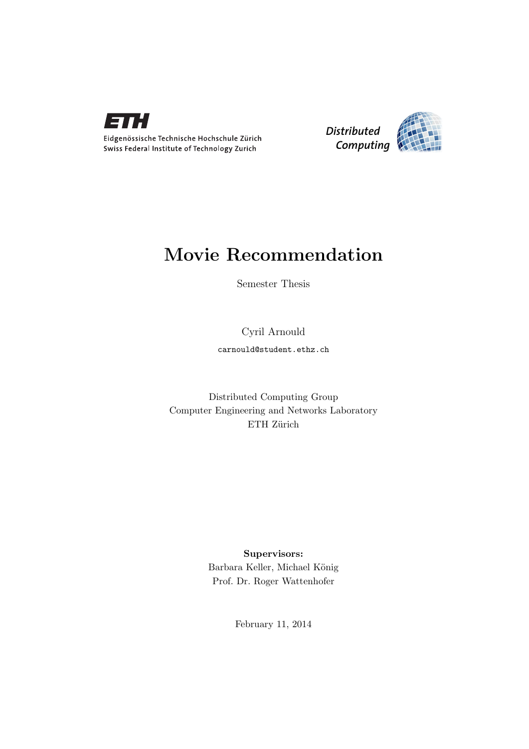



# Movie Recommendation

Semester Thesis

Cyril Arnould

carnould@student.ethz.ch

Distributed Computing Group Computer Engineering and Networks Laboratory ETH Zürich

> Supervisors: Barbara Keller, Michael König Prof. Dr. Roger Wattenhofer

> > February 11, 2014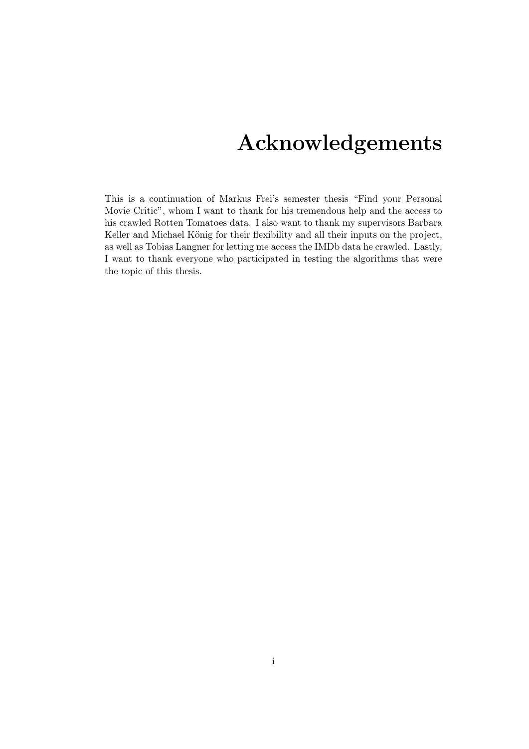# Acknowledgements

<span id="page-1-0"></span>This is a continuation of Markus Frei's semester thesis "Find your Personal Movie Critic", whom I want to thank for his tremendous help and the access to his crawled Rotten Tomatoes data. I also want to thank my supervisors Barbara Keller and Michael König for their flexibility and all their inputs on the project, as well as Tobias Langner for letting me access the IMDb data he crawled. Lastly, I want to thank everyone who participated in testing the algorithms that were the topic of this thesis.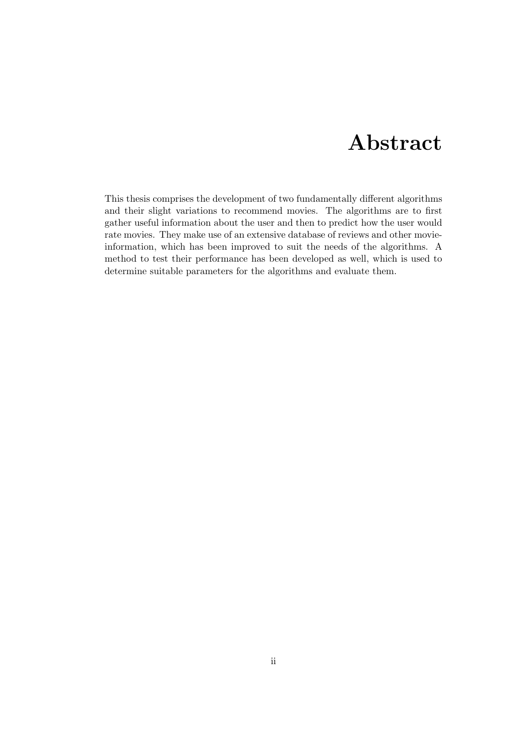# Abstract

<span id="page-2-0"></span>This thesis comprises the development of two fundamentally different algorithms and their slight variations to recommend movies. The algorithms are to first gather useful information about the user and then to predict how the user would rate movies. They make use of an extensive database of reviews and other movieinformation, which has been improved to suit the needs of the algorithms. A method to test their performance has been developed as well, which is used to determine suitable parameters for the algorithms and evaluate them.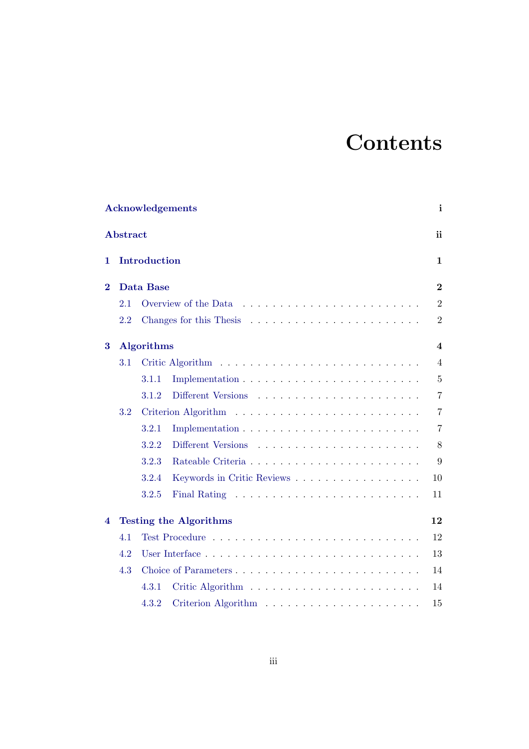# **Contents**

|          |                 | <b>Acknowledgements</b>             | i                       |
|----------|-----------------|-------------------------------------|-------------------------|
|          | <b>Abstract</b> |                                     | ii                      |
| 1        |                 | <b>Introduction</b>                 | $\mathbf 1$             |
| $\bf{2}$ |                 | <b>Data Base</b>                    | $\overline{2}$          |
|          | 2.1             |                                     | $\overline{2}$          |
|          | 2.2             |                                     | $\overline{2}$          |
| 3        |                 | <b>Algorithms</b>                   | $\overline{\mathbf{4}}$ |
|          | 3.1             |                                     | $\overline{4}$          |
|          |                 | 3.1.1                               | $\overline{5}$          |
|          |                 | 3.1.2                               | $\overline{7}$          |
|          | 3.2             |                                     | $\overline{7}$          |
|          |                 | 3.2.1                               | $\overline{7}$          |
|          |                 | 3.2.2                               | 8                       |
|          |                 | 3.2.3                               | 9                       |
|          |                 | 3.2.4<br>Keywords in Critic Reviews | 10                      |
|          |                 | 3.2.5                               | 11                      |
| 4        |                 | <b>Testing the Algorithms</b>       | 12                      |
|          | 4.1             |                                     | 12                      |
|          | 4.2             |                                     | 13                      |
|          | 4.3             | Choice of Parameters                | 14                      |
|          |                 | 4.3.1                               | 14                      |
|          |                 | 4.3.2                               | 15                      |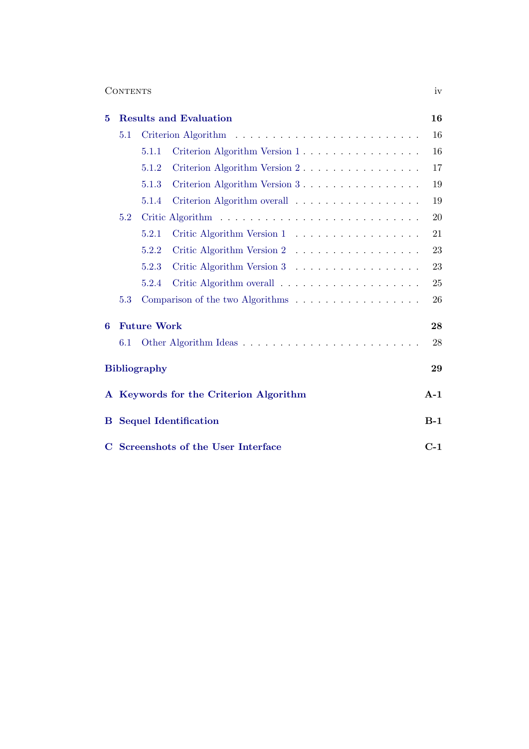### Contents iv

| 5        |     |                     | <b>Results and Evaluation</b>                                         | 16     |
|----------|-----|---------------------|-----------------------------------------------------------------------|--------|
|          | 5.1 |                     |                                                                       | $16\,$ |
|          |     | 5.1.1               | Criterion Algorithm Version 1                                         | 16     |
|          |     | 5.1.2               | Criterion Algorithm Version 2                                         | 17     |
|          |     | 5.1.3               | Criterion Algorithm Version 3                                         | 19     |
|          |     | 5.1.4               | Criterion Algorithm overall                                           | 19     |
|          | 5.2 |                     |                                                                       | 20     |
|          |     | 5.2.1               | Critic Algorithm Version 1                                            | 21     |
|          |     | 5.2.2               | Critic Algorithm Version 2                                            | 23     |
|          |     | 5.2.3               | Critic Algorithm Version 3                                            | 23     |
|          |     | 5.2.4               |                                                                       | 25     |
|          | 5.3 |                     | Comparison of the two Algorithms $\ldots \ldots \ldots \ldots \ldots$ | 26     |
| 6        |     | <b>Future Work</b>  |                                                                       | 28     |
|          | 6.1 |                     |                                                                       | 28     |
|          |     | <b>Bibliography</b> |                                                                       | 29     |
|          |     |                     | A Keywords for the Criterion Algorithm                                | $A-1$  |
| $\bf{B}$ |     |                     | <b>Sequel Identification</b>                                          | $B-1$  |
|          |     |                     | C Screenshots of the User Interface                                   | $C-1$  |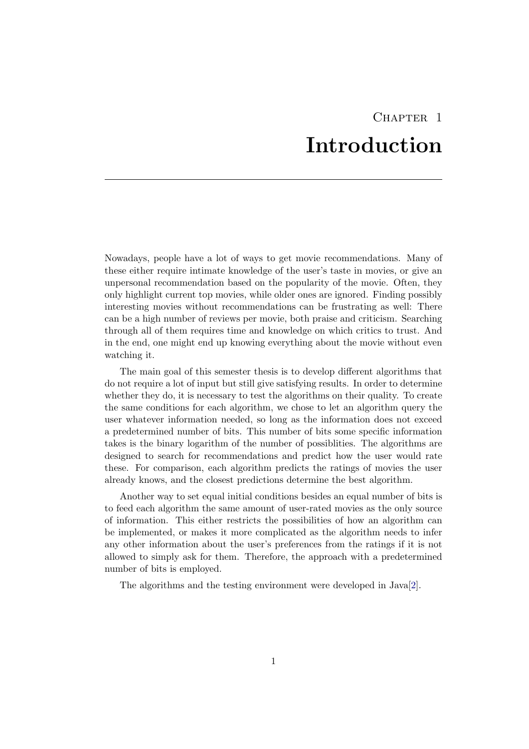# CHAPTER<sub>1</sub> Introduction

<span id="page-5-0"></span>Nowadays, people have a lot of ways to get movie recommendations. Many of these either require intimate knowledge of the user's taste in movies, or give an unpersonal recommendation based on the popularity of the movie. Often, they only highlight current top movies, while older ones are ignored. Finding possibly interesting movies without recommendations can be frustrating as well: There can be a high number of reviews per movie, both praise and criticism. Searching through all of them requires time and knowledge on which critics to trust. And in the end, one might end up knowing everything about the movie without even watching it.

The main goal of this semester thesis is to develop different algorithms that do not require a lot of input but still give satisfying results. In order to determine whether they do, it is necessary to test the algorithms on their quality. To create the same conditions for each algorithm, we chose to let an algorithm query the user whatever information needed, so long as the information does not exceed a predetermined number of bits. This number of bits some specific information takes is the binary logarithm of the number of possiblities. The algorithms are designed to search for recommendations and predict how the user would rate these. For comparison, each algorithm predicts the ratings of movies the user already knows, and the closest predictions determine the best algorithm.

Another way to set equal initial conditions besides an equal number of bits is to feed each algorithm the same amount of user-rated movies as the only source of information. This either restricts the possibilities of how an algorithm can be implemented, or makes it more complicated as the algorithm needs to infer any other information about the user's preferences from the ratings if it is not allowed to simply ask for them. Therefore, the approach with a predetermined number of bits is employed.

The algorithms and the testing environment were developed in Java[\[2\]](#page-33-1).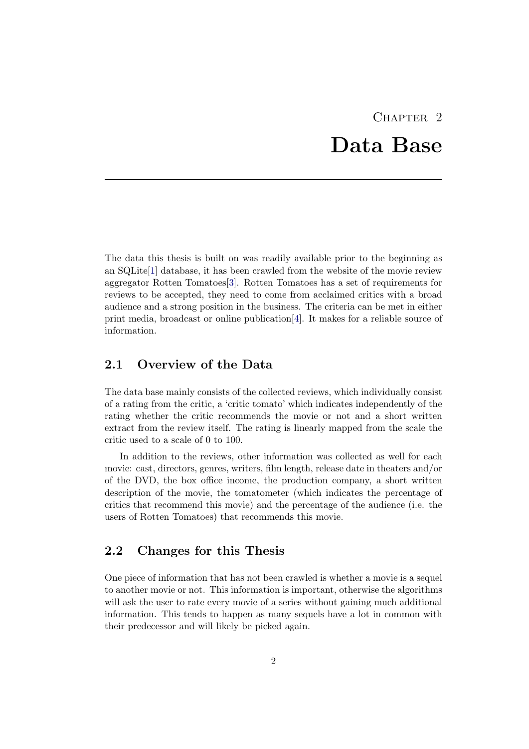# $CHAPTER$  2 Data Base

<span id="page-6-0"></span>The data this thesis is built on was readily available prior to the beginning as an SQLite[\[1\]](#page-33-2) database, it has been crawled from the website of the movie review aggregator Rotten Tomatoes[\[3\]](#page-33-3). Rotten Tomatoes has a set of requirements for reviews to be accepted, they need to come from acclaimed critics with a broad audience and a strong position in the business. The criteria can be met in either print media, broadcast or online publication[\[4\]](#page-33-4). It makes for a reliable source of information.

### <span id="page-6-1"></span>2.1 Overview of the Data

The data base mainly consists of the collected reviews, which individually consist of a rating from the critic, a 'critic tomato' which indicates independently of the rating whether the critic recommends the movie or not and a short written extract from the review itself. The rating is linearly mapped from the scale the critic used to a scale of 0 to 100.

In addition to the reviews, other information was collected as well for each movie: cast, directors, genres, writers, film length, release date in theaters and/or of the DVD, the box office income, the production company, a short written description of the movie, the tomatometer (which indicates the percentage of critics that recommend this movie) and the percentage of the audience (i.e. the users of Rotten Tomatoes) that recommends this movie.

### <span id="page-6-2"></span>2.2 Changes for this Thesis

One piece of information that has not been crawled is whether a movie is a sequel to another movie or not. This information is important, otherwise the algorithms will ask the user to rate every movie of a series without gaining much additional information. This tends to happen as many sequels have a lot in common with their predecessor and will likely be picked again.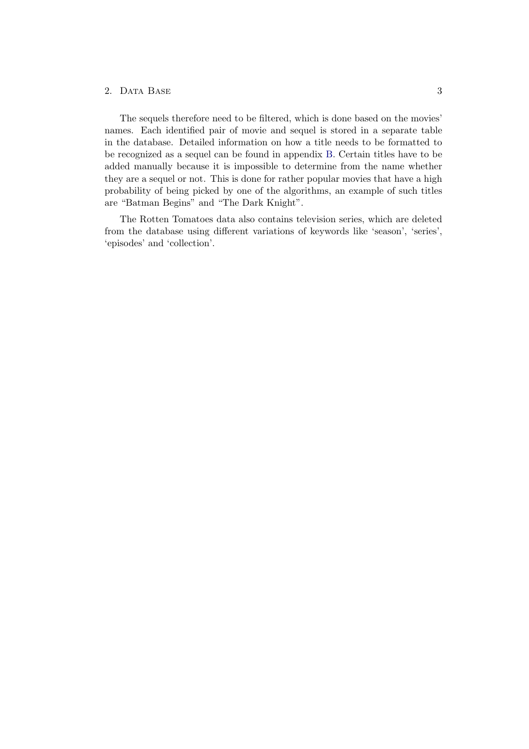#### 2. DATA BASE 3

The sequels therefore need to be filtered, which is done based on the movies' names. Each identified pair of movie and sequel is stored in a separate table in the database. Detailed information on how a title needs to be formatted to be recognized as a sequel can be found in appendix [B.](#page-35-0) Certain titles have to be added manually because it is impossible to determine from the name whether they are a sequel or not. This is done for rather popular movies that have a high probability of being picked by one of the algorithms, an example of such titles are "Batman Begins" and "The Dark Knight".

The Rotten Tomatoes data also contains television series, which are deleted from the database using different variations of keywords like 'season', 'series', 'episodes' and 'collection'.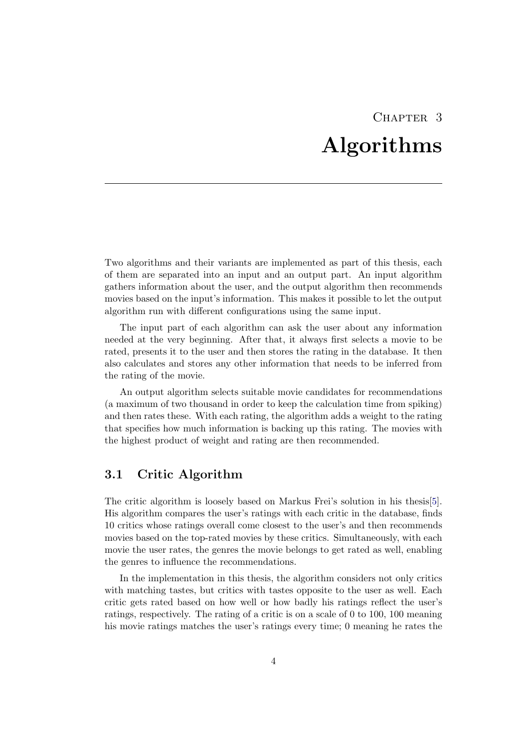# CHAPTER 3 Algorithms

<span id="page-8-0"></span>Two algorithms and their variants are implemented as part of this thesis, each of them are separated into an input and an output part. An input algorithm gathers information about the user, and the output algorithm then recommends movies based on the input's information. This makes it possible to let the output algorithm run with different configurations using the same input.

The input part of each algorithm can ask the user about any information needed at the very beginning. After that, it always first selects a movie to be rated, presents it to the user and then stores the rating in the database. It then also calculates and stores any other information that needs to be inferred from the rating of the movie.

An output algorithm selects suitable movie candidates for recommendations (a maximum of two thousand in order to keep the calculation time from spiking) and then rates these. With each rating, the algorithm adds a weight to the rating that specifies how much information is backing up this rating. The movies with the highest product of weight and rating are then recommended.

### <span id="page-8-1"></span>3.1 Critic Algorithm

The critic algorithm is loosely based on Markus Frei's solution in his thesis[\[5\]](#page-33-5). His algorithm compares the user's ratings with each critic in the database, finds 10 critics whose ratings overall come closest to the user's and then recommends movies based on the top-rated movies by these critics. Simultaneously, with each movie the user rates, the genres the movie belongs to get rated as well, enabling the genres to influence the recommendations.

In the implementation in this thesis, the algorithm considers not only critics with matching tastes, but critics with tastes opposite to the user as well. Each critic gets rated based on how well or how badly his ratings reflect the user's ratings, respectively. The rating of a critic is on a scale of 0 to 100, 100 meaning his movie ratings matches the user's ratings every time; 0 meaning he rates the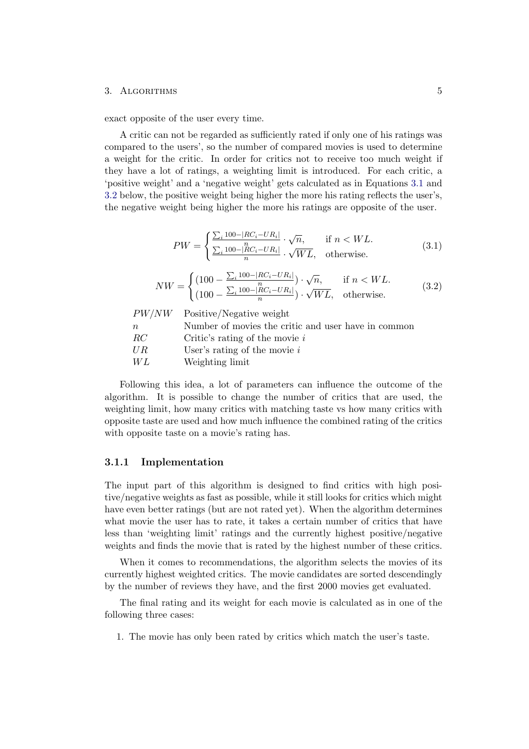#### 3. ALGORITHMS 5

exact opposite of the user every time.

A critic can not be regarded as sufficiently rated if only one of his ratings was compared to the users', so the number of compared movies is used to determine a weight for the critic. In order for critics not to receive too much weight if they have a lot of ratings, a weighting limit is introduced. For each critic, a 'positive weight' and a 'negative weight' gets calculated as in Equations [3.1](#page-9-1) and [3.2](#page-9-2) below, the positive weight being higher the more his rating reflects the user's, the negative weight being higher the more his ratings are opposite of the user.

<span id="page-9-1"></span>
$$
PW = \begin{cases} \frac{\sum_{i} 100 - |RC_i - UR_i|}{n} \cdot \sqrt{n}, & \text{if } n < WL.\\ \frac{\sum_{i} 100 - |RC_i - UR_i|}{n} \cdot \sqrt{WL}, & \text{otherwise.} \end{cases} \tag{3.1}
$$

<span id="page-9-2"></span>
$$
NW = \begin{cases} (100 - \frac{\sum_{i} 100 - |RC_i - UR_i|}{n}) \cdot \sqrt{n}, & \text{if } n < WL, \\ (100 - \frac{\sum_{i} 100 - |RC_i - UR_i|}{n}) \cdot \sqrt{WL}, & \text{otherwise.} \end{cases}
$$
(3.2)

|        | $PW/NW$ Positive/Negative weight                    |
|--------|-----------------------------------------------------|
| $\, n$ | Number of movies the critic and user have in common |
| RC     | Critic's rating of the movie $i$                    |
| U R    | User's rating of the movie $i$                      |
| WL     | Weighting limit                                     |

Following this idea, a lot of parameters can influence the outcome of the algorithm. It is possible to change the number of critics that are used, the weighting limit, how many critics with matching taste vs how many critics with opposite taste are used and how much influence the combined rating of the critics with opposite taste on a movie's rating has.

#### <span id="page-9-0"></span>3.1.1 Implementation

The input part of this algorithm is designed to find critics with high positive/negative weights as fast as possible, while it still looks for critics which might have even better ratings (but are not rated yet). When the algorithm determines what movie the user has to rate, it takes a certain number of critics that have less than 'weighting limit' ratings and the currently highest positive/negative weights and finds the movie that is rated by the highest number of these critics.

When it comes to recommendations, the algorithm selects the movies of its currently highest weighted critics. The movie candidates are sorted descendingly by the number of reviews they have, and the first 2000 movies get evaluated.

The final rating and its weight for each movie is calculated as in one of the following three cases:

1. The movie has only been rated by critics which match the user's taste.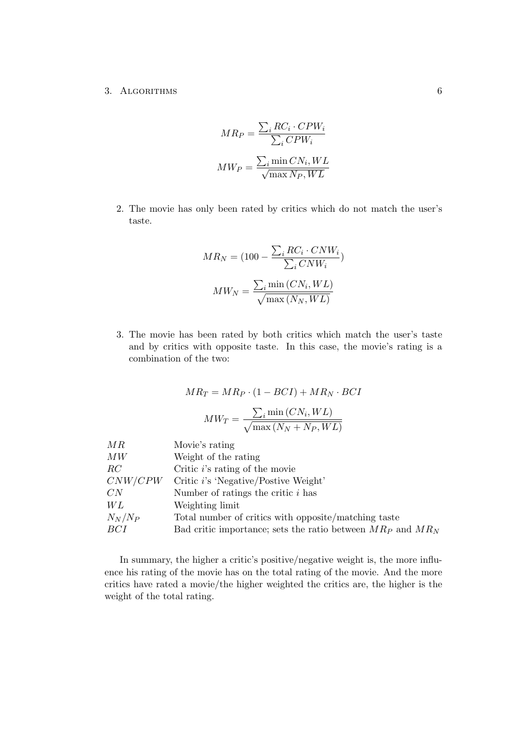#### 3. ALGORITHMS 6

$$
MR_P = \frac{\sum_i RC_i \cdot CPW_i}{\sum_i CPW_i}
$$

$$
MW_P = \frac{\sum_i \min CN_i, WL}{\sqrt{\max N_P, WL}}
$$

2. The movie has only been rated by critics which do not match the user's taste.

$$
MR_N = (100 - \frac{\sum_i RC_i \cdot CNW_i}{\sum_i CNW_i})
$$

$$
MW_N = \frac{\sum_i \min(CN_i, WL)}{\sqrt{\max(N_N, WL)}}
$$

3. The movie has been rated by both critics which match the user's taste and by critics with opposite taste. In this case, the movie's rating is a combination of the two:

$$
MR_T = MR_P \cdot (1 - BCI) + MR_N \cdot BCI
$$

$$
MW_T = \frac{\sum_i \min{(CN_i, WL)}}{\sqrt{\max{(N_N + N_P, WL)}}}
$$

| Movie's rating<br>MR                                                   |  |
|------------------------------------------------------------------------|--|
| Weight of the rating<br>MW                                             |  |
| Critic $i$ 's rating of the movie<br>RC                                |  |
| CNW/CPW<br>Critic i's 'Negative/Postive Weight'                        |  |
| CN<br>Number of ratings the critic $i$ has                             |  |
| WL<br>Weighting limit                                                  |  |
| $N_N/N_P$<br>Total number of critics with opposite/matching taste      |  |
| BCI<br>Bad critic importance; sets the ratio between $MR_P$ and $MR_N$ |  |

In summary, the higher a critic's positive/negative weight is, the more influence his rating of the movie has on the total rating of the movie. And the more critics have rated a movie/the higher weighted the critics are, the higher is the weight of the total rating.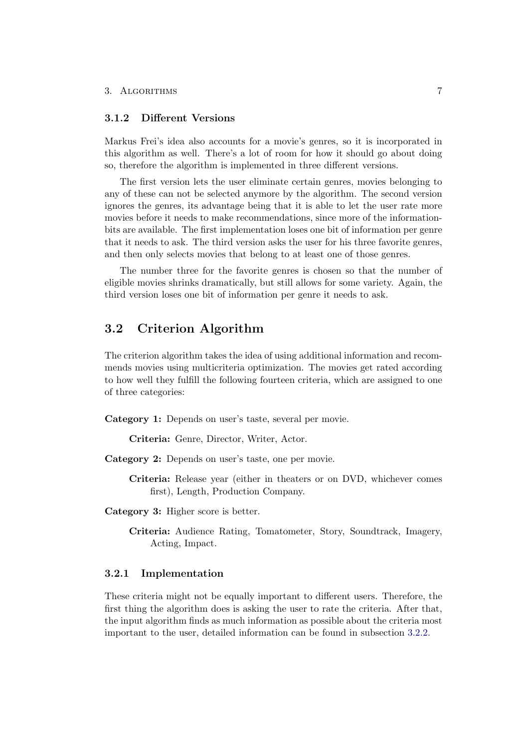#### <span id="page-11-0"></span>3.1.2 Different Versions

Markus Frei's idea also accounts for a movie's genres, so it is incorporated in this algorithm as well. There's a lot of room for how it should go about doing so, therefore the algorithm is implemented in three different versions.

The first version lets the user eliminate certain genres, movies belonging to any of these can not be selected anymore by the algorithm. The second version ignores the genres, its advantage being that it is able to let the user rate more movies before it needs to make recommendations, since more of the informationbits are available. The first implementation loses one bit of information per genre that it needs to ask. The third version asks the user for his three favorite genres, and then only selects movies that belong to at least one of those genres.

The number three for the favorite genres is chosen so that the number of eligible movies shrinks dramatically, but still allows for some variety. Again, the third version loses one bit of information per genre it needs to ask.

### <span id="page-11-1"></span>3.2 Criterion Algorithm

The criterion algorithm takes the idea of using additional information and recommends movies using multicriteria optimization. The movies get rated according to how well they fulfill the following fourteen criteria, which are assigned to one of three categories:

Category 1: Depends on user's taste, several per movie.

Criteria: Genre, Director, Writer, Actor.

Category 2: Depends on user's taste, one per movie.

Criteria: Release year (either in theaters or on DVD, whichever comes first), Length, Production Company.

Category 3: Higher score is better.

Criteria: Audience Rating, Tomatometer, Story, Soundtrack, Imagery, Acting, Impact.

#### <span id="page-11-2"></span>3.2.1 Implementation

These criteria might not be equally important to different users. Therefore, the first thing the algorithm does is asking the user to rate the criteria. After that, the input algorithm finds as much information as possible about the criteria most important to the user, detailed information can be found in subsection [3.2.2.](#page-12-0)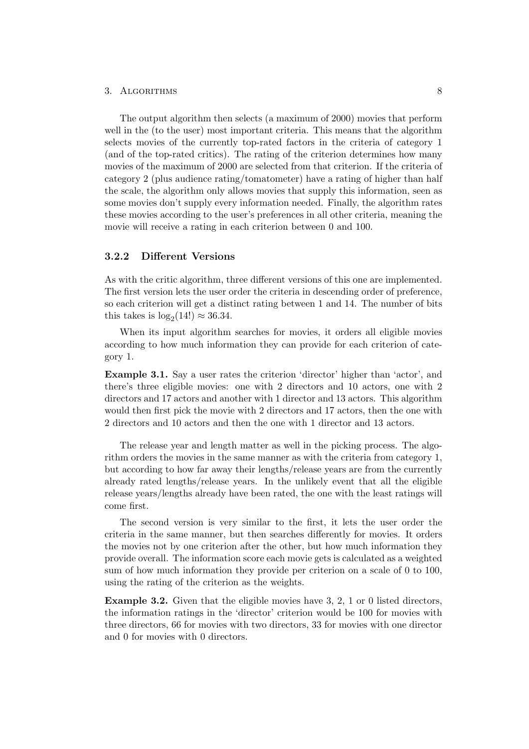#### 3. ALGORITHMS 8

The output algorithm then selects (a maximum of 2000) movies that perform well in the (to the user) most important criteria. This means that the algorithm selects movies of the currently top-rated factors in the criteria of category 1 (and of the top-rated critics). The rating of the criterion determines how many movies of the maximum of 2000 are selected from that criterion. If the criteria of category 2 (plus audience rating/tomatometer) have a rating of higher than half the scale, the algorithm only allows movies that supply this information, seen as some movies don't supply every information needed. Finally, the algorithm rates these movies according to the user's preferences in all other criteria, meaning the movie will receive a rating in each criterion between 0 and 100.

#### <span id="page-12-0"></span>3.2.2 Different Versions

As with the critic algorithm, three different versions of this one are implemented. The first version lets the user order the criteria in descending order of preference, so each criterion will get a distinct rating between 1 and 14. The number of bits this takes is  $\log_2(14!) \approx 36.34$ .

When its input algorithm searches for movies, it orders all eligible movies according to how much information they can provide for each criterion of category 1.

Example 3.1. Say a user rates the criterion 'director' higher than 'actor', and there's three eligible movies: one with 2 directors and 10 actors, one with 2 directors and 17 actors and another with 1 director and 13 actors. This algorithm would then first pick the movie with 2 directors and 17 actors, then the one with 2 directors and 10 actors and then the one with 1 director and 13 actors.

The release year and length matter as well in the picking process. The algorithm orders the movies in the same manner as with the criteria from category 1, but according to how far away their lengths/release years are from the currently already rated lengths/release years. In the unlikely event that all the eligible release years/lengths already have been rated, the one with the least ratings will come first.

The second version is very similar to the first, it lets the user order the criteria in the same manner, but then searches differently for movies. It orders the movies not by one criterion after the other, but how much information they provide overall. The information score each movie gets is calculated as a weighted sum of how much information they provide per criterion on a scale of 0 to 100, using the rating of the criterion as the weights.

Example 3.2. Given that the eligible movies have 3, 2, 1 or 0 listed directors, the information ratings in the 'director' criterion would be 100 for movies with three directors, 66 for movies with two directors, 33 for movies with one director and 0 for movies with 0 directors.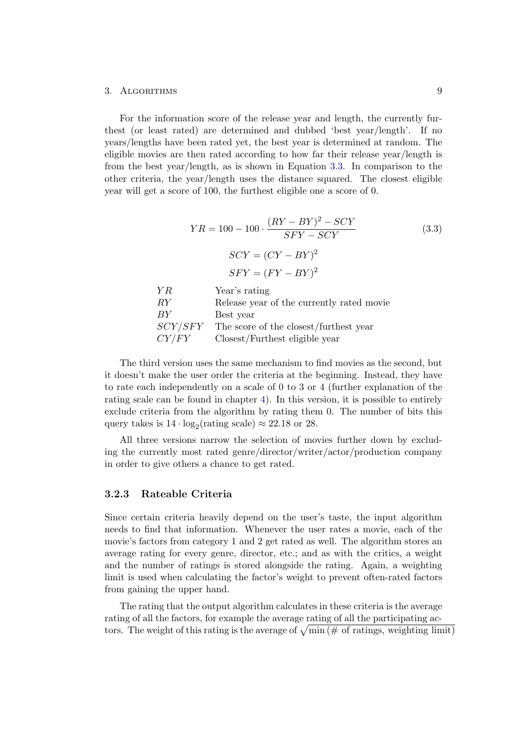#### 3. ALGORITHMS 9

For the information score of the release year and length, the currently furthest (or least rated) are determined and dubbed 'best year/length'. If no years/lengths have been rated yet, the best year is determined at random. The eligible movies are then rated according to how far their release year/length is from the best year/length, as is shown in Equation [3.3.](#page-13-1) In comparison to the other criteria, the year/length uses the distance squared. The closest eligible year will get a score of 100, the furthest eligible one a score of 0.

<span id="page-13-1"></span>
$$
YR = 100 - 100 \cdot \frac{(RY - BY)^2 - SCY}{SFY - SCY}
$$
(3.3)  
\n
$$
SCY = (CY - BY)^2
$$
  
\n
$$
SFY = (FY - BY)^2
$$
  
\n
$$
YR
$$
 Year's rating  
\n
$$
RY
$$
 Release year of the currently rated movie  
\n
$$
BY
$$
 Best year  
\n
$$
SCY/SFY
$$
 The score of the closest/furthest year  
\n
$$
CY/FY
$$
 Closest/Furthest eligible year

The third version uses the same mechanism to find movies as the second, but it doesn't make the user order the criteria at the beginning. Instead, they have to rate each independently on a scale of 0 to 3 or 4 (further explanation of the rating scale can be found in chapter [4\)](#page-16-0). In this version, it is possible to entirely exclude criteria from the algorithm by rating them 0. The number of bits this query takes is  $14 \cdot \log_2(\text{rating scale}) \approx 22.18$  or 28.

All three versions narrow the selection of movies further down by excluding the currently most rated genre/director/writer/actor/production company in order to give others a chance to get rated.

#### <span id="page-13-0"></span>3.2.3 Rateable Criteria

Since certain criteria heavily depend on the user's taste, the input algorithm needs to find that information. Whenever the user rates a movie, each of the movie's factors from category 1 and 2 get rated as well. The algorithm stores an average rating for every genre, director, etc.; and as with the critics, a weight and the number of ratings is stored alongside the rating. Again, a weighting limit is used when calculating the factor's weight to prevent often-rated factors from gaining the upper hand.

The rating that the output algorithm calculates in these criteria is the average rating of all the factors, for example the average rating of all the participating actors. The weight of this rating is the average of  $\sqrt{\min (\# \text{ of ratings, weighting limit})}$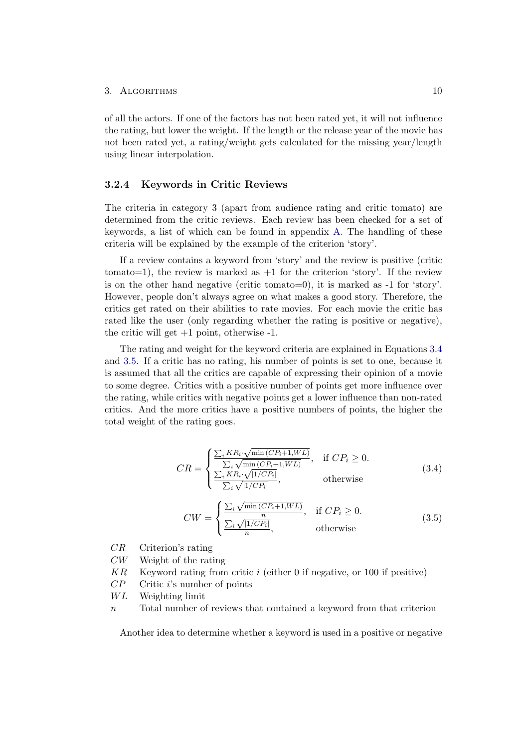of all the actors. If one of the factors has not been rated yet, it will not influence the rating, but lower the weight. If the length or the release year of the movie has not been rated yet, a rating/weight gets calculated for the missing year/length using linear interpolation.

#### <span id="page-14-0"></span>3.2.4 Keywords in Critic Reviews

The criteria in category 3 (apart from audience rating and critic tomato) are determined from the critic reviews. Each review has been checked for a set of keywords, a list of which can be found in appendix [A.](#page-34-0) The handling of these criteria will be explained by the example of the criterion 'story'.

If a review contains a keyword from 'story' and the review is positive (critic tomato=1), the review is marked as  $+1$  for the criterion 'story'. If the review is on the other hand negative (critic tomato=0), it is marked as -1 for 'story'. However, people don't always agree on what makes a good story. Therefore, the critics get rated on their abilities to rate movies. For each movie the critic has rated like the user (only regarding whether the rating is positive or negative), the critic will get  $+1$  point, otherwise  $-1$ .

The rating and weight for the keyword criteria are explained in Equations [3.4](#page-14-1) and [3.5.](#page-14-2) If a critic has no rating, his number of points is set to one, because it is assumed that all the critics are capable of expressing their opinion of a movie to some degree. Critics with a positive number of points get more influence over the rating, while critics with negative points get a lower influence than non-rated critics. And the more critics have a positive numbers of points, the higher the total weight of the rating goes.

<span id="page-14-1"></span>
$$
CR = \begin{cases} \frac{\sum_{i} KR_{i} \cdot \sqrt{\min{(CP_{i}+1, WL)}}}{\sum_{i} \sqrt{\min{(CP_{i}+1, WL)}}}, & \text{if } CP_{i} \ge 0. \\ \frac{\sum_{i} KR_{i} \cdot \sqrt{|1/CP_{i}|}}{\sum_{i} \sqrt{|1/CP_{i}|}}, & \text{otherwise} \end{cases}
$$
(3.4)

<span id="page-14-2"></span>
$$
CW = \begin{cases} \frac{\sum_{i} \sqrt{\min{(CP_i + 1, WL)}}}{\frac{n}{n}}, & \text{if } CP_i \ge 0. \\ \frac{\sum_{i} \sqrt{|1/CP_i|}}{n}, & \text{otherwise} \end{cases}
$$
(3.5)

- CR Criterion's rating
- CW Weight of the rating
- $KR$  Keyword rating from critic i (either 0 if negative, or 100 if positive)
- $CP$  Critic i's number of points
- $WL$  Weighting limit
- $n$  Total number of reviews that contained a keyword from that criterion

Another idea to determine whether a keyword is used in a positive or negative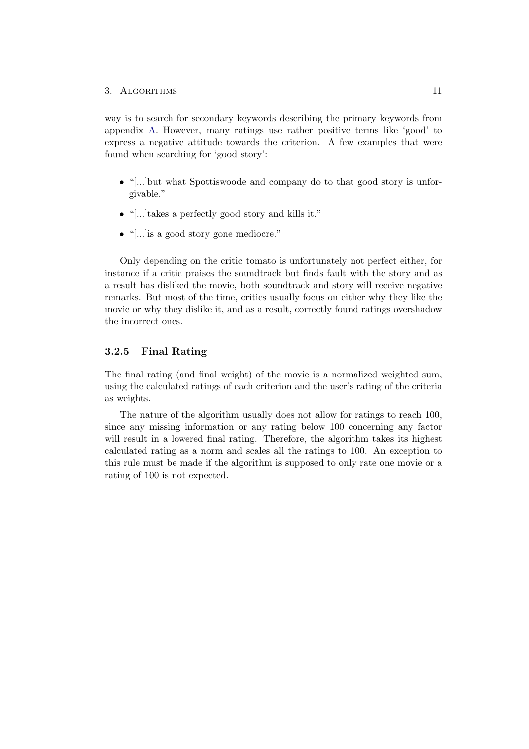#### 3. ALGORITHMS 11

way is to search for secondary keywords describing the primary keywords from appendix [A.](#page-34-0) However, many ratings use rather positive terms like 'good' to express a negative attitude towards the criterion. A few examples that were found when searching for 'good story':

- "[...]but what Spottiswoode and company do to that good story is unforgivable."
- "[...]takes a perfectly good story and kills it."
- "[...]is a good story gone mediocre."

Only depending on the critic tomato is unfortunately not perfect either, for instance if a critic praises the soundtrack but finds fault with the story and as a result has disliked the movie, both soundtrack and story will receive negative remarks. But most of the time, critics usually focus on either why they like the movie or why they dislike it, and as a result, correctly found ratings overshadow the incorrect ones.

#### <span id="page-15-0"></span>3.2.5 Final Rating

The final rating (and final weight) of the movie is a normalized weighted sum, using the calculated ratings of each criterion and the user's rating of the criteria as weights.

The nature of the algorithm usually does not allow for ratings to reach 100, since any missing information or any rating below 100 concerning any factor will result in a lowered final rating. Therefore, the algorithm takes its highest calculated rating as a norm and scales all the ratings to 100. An exception to this rule must be made if the algorithm is supposed to only rate one movie or a rating of 100 is not expected.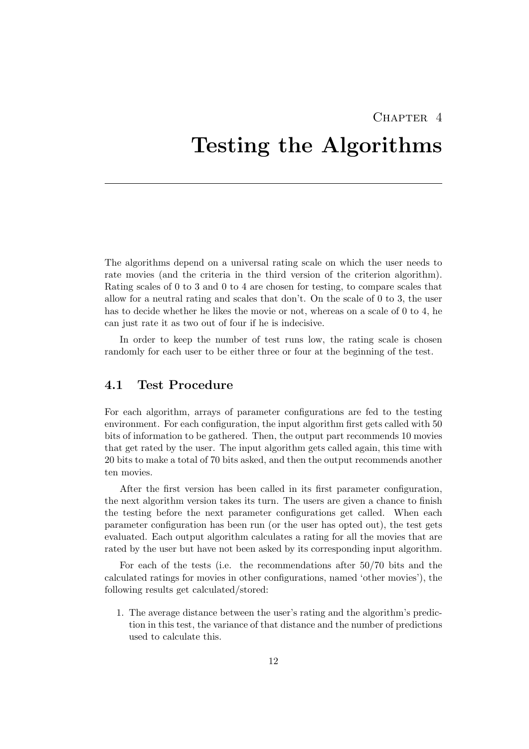### CHAPTER<sub>4</sub>

# <span id="page-16-0"></span>Testing the Algorithms

The algorithms depend on a universal rating scale on which the user needs to rate movies (and the criteria in the third version of the criterion algorithm). Rating scales of 0 to 3 and 0 to 4 are chosen for testing, to compare scales that allow for a neutral rating and scales that don't. On the scale of 0 to 3, the user has to decide whether he likes the movie or not, whereas on a scale of 0 to 4, he can just rate it as two out of four if he is indecisive.

In order to keep the number of test runs low, the rating scale is chosen randomly for each user to be either three or four at the beginning of the test.

### <span id="page-16-1"></span>4.1 Test Procedure

For each algorithm, arrays of parameter configurations are fed to the testing environment. For each configuration, the input algorithm first gets called with 50 bits of information to be gathered. Then, the output part recommends 10 movies that get rated by the user. The input algorithm gets called again, this time with 20 bits to make a total of 70 bits asked, and then the output recommends another ten movies.

After the first version has been called in its first parameter configuration, the next algorithm version takes its turn. The users are given a chance to finish the testing before the next parameter configurations get called. When each parameter configuration has been run (or the user has opted out), the test gets evaluated. Each output algorithm calculates a rating for all the movies that are rated by the user but have not been asked by its corresponding input algorithm.

For each of the tests (i.e. the recommendations after 50/70 bits and the calculated ratings for movies in other configurations, named 'other movies'), the following results get calculated/stored:

1. The average distance between the user's rating and the algorithm's prediction in this test, the variance of that distance and the number of predictions used to calculate this.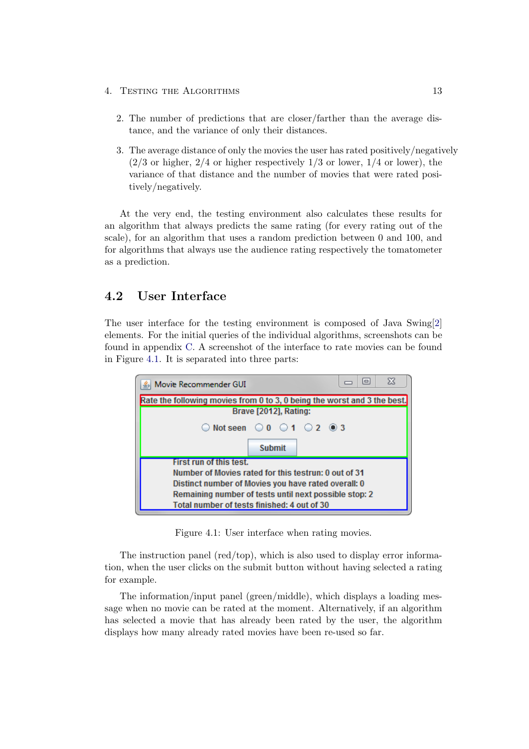- 4. TESTING THE ALGORITHMS 13
	- 2. The number of predictions that are closer/farther than the average distance, and the variance of only their distances.
	- 3. The average distance of only the movies the user has rated positively/negatively  $(2/3 \text{ or higher, } 2/4 \text{ or higher respectively } 1/3 \text{ or lower, } 1/4 \text{ or lower})$ , the variance of that distance and the number of movies that were rated positively/negatively.

At the very end, the testing environment also calculates these results for an algorithm that always predicts the same rating (for every rating out of the scale), for an algorithm that uses a random prediction between 0 and 100, and for algorithms that always use the audience rating respectively the tomatometer as a prediction.

### <span id="page-17-0"></span>4.2 User Interface

The user interface for the testing environment is composed of Java Swing[\[2\]](#page-33-1) elements. For the initial queries of the individual algorithms, screenshots can be found in appendix [C.](#page-36-0) A screenshot of the interface to rate movies can be found in Figure [4.1.](#page-17-1) It is separated into three parts:



<span id="page-17-1"></span>Figure 4.1: User interface when rating movies.

The instruction panel (red/top), which is also used to display error information, when the user clicks on the submit button without having selected a rating for example.

The information/input panel (green/middle), which displays a loading message when no movie can be rated at the moment. Alternatively, if an algorithm has selected a movie that has already been rated by the user, the algorithm displays how many already rated movies have been re-used so far.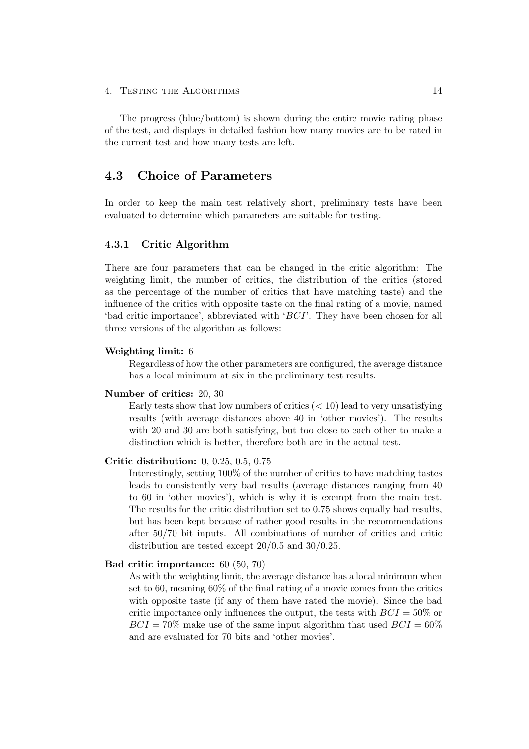#### 4. TESTING THE ALGORITHMS 14

The progress (blue/bottom) is shown during the entire movie rating phase of the test, and displays in detailed fashion how many movies are to be rated in the current test and how many tests are left.

### <span id="page-18-0"></span>4.3 Choice of Parameters

In order to keep the main test relatively short, preliminary tests have been evaluated to determine which parameters are suitable for testing.

#### <span id="page-18-1"></span>4.3.1 Critic Algorithm

There are four parameters that can be changed in the critic algorithm: The weighting limit, the number of critics, the distribution of the critics (stored as the percentage of the number of critics that have matching taste) and the influence of the critics with opposite taste on the final rating of a movie, named 'bad critic importance', abbreviated with 'BCI'. They have been chosen for all three versions of the algorithm as follows:

#### Weighting limit: 6

Regardless of how the other parameters are configured, the average distance has a local minimum at six in the preliminary test results.

#### Number of critics: 20, 30

Early tests show that low numbers of critics  $(< 10$ ) lead to very unsatisfying results (with average distances above 40 in 'other movies'). The results with 20 and 30 are both satisfying, but too close to each other to make a distinction which is better, therefore both are in the actual test.

#### Critic distribution: 0, 0.25, 0.5, 0.75

Interestingly, setting 100% of the number of critics to have matching tastes leads to consistently very bad results (average distances ranging from 40 to 60 in 'other movies'), which is why it is exempt from the main test. The results for the critic distribution set to 0.75 shows equally bad results, but has been kept because of rather good results in the recommendations after 50/70 bit inputs. All combinations of number of critics and critic distribution are tested except  $20/0.5$  and  $30/0.25$ .

#### Bad critic importance: 60 (50, 70)

As with the weighting limit, the average distance has a local minimum when set to 60, meaning 60% of the final rating of a movie comes from the critics with opposite taste (if any of them have rated the movie). Since the bad critic importance only influences the output, the tests with  $BCI = 50\%$  or  $BCI = 70\%$  make use of the same input algorithm that used  $BCI = 60\%$ and are evaluated for 70 bits and 'other movies'.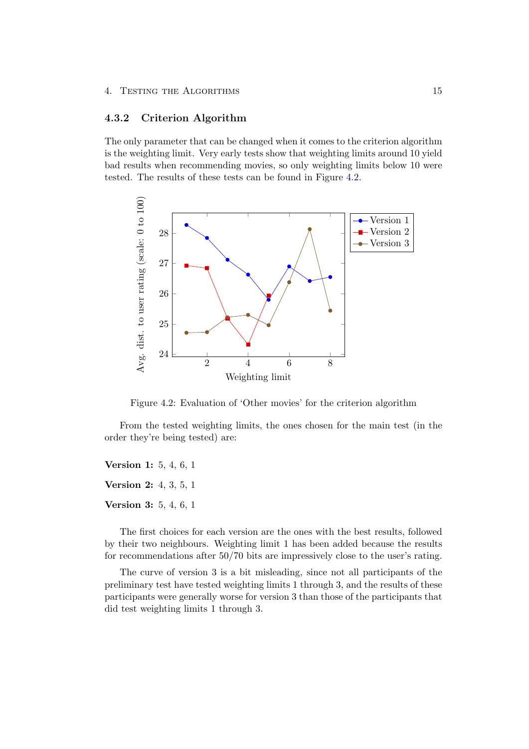#### <span id="page-19-0"></span>4.3.2 Criterion Algorithm

The only parameter that can be changed when it comes to the criterion algorithm is the weighting limit. Very early tests show that weighting limits around 10 yield bad results when recommending movies, so only weighting limits below 10 were tested. The results of these tests can be found in Figure [4.2.](#page-19-1)



<span id="page-19-1"></span>Figure 4.2: Evaluation of 'Other movies' for the criterion algorithm

From the tested weighting limits, the ones chosen for the main test (in the order they're being tested) are:

Version 1: 5, 4, 6, 1 Version 2: 4, 3, 5, 1 Version 3: 5, 4, 6, 1

The first choices for each version are the ones with the best results, followed by their two neighbours. Weighting limit 1 has been added because the results for recommendations after 50/70 bits are impressively close to the user's rating.

The curve of version 3 is a bit misleading, since not all participants of the preliminary test have tested weighting limits 1 through 3, and the results of these participants were generally worse for version 3 than those of the participants that did test weighting limits 1 through 3.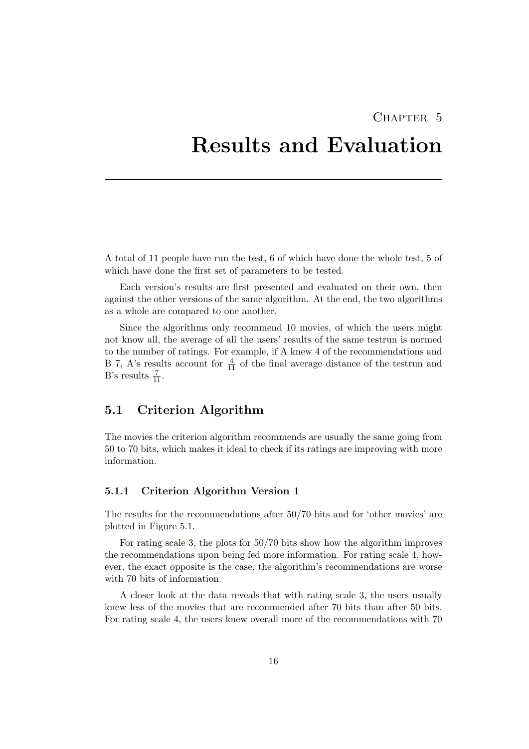### CHAPTER<sub>5</sub>

# <span id="page-20-0"></span>Results and Evaluation

A total of 11 people have run the test, 6 of which have done the whole test, 5 of which have done the first set of parameters to be tested.

Each version's results are first presented and evaluated on their own, then against the other versions of the same algorithm. At the end, the two algorithms as a whole are compared to one another.

Since the algorithms only recommend 10 movies, of which the users might not know all, the average of all the users' results of the same testrun is normed to the number of ratings. For example, if A knew 4 of the recommendations and B 7, A's results account for  $\frac{4}{11}$  of the final average distance of the testrun and B's results  $\frac{7}{11}$ .

### <span id="page-20-1"></span>5.1 Criterion Algorithm

The movies the criterion algorithm recommends are usually the same going from 50 to 70 bits, which makes it ideal to check if its ratings are improving with more information.

#### <span id="page-20-2"></span>5.1.1 Criterion Algorithm Version 1

The results for the recommendations after 50/70 bits and for 'other movies' are plotted in Figure [5.1.](#page-21-1)

For rating scale 3, the plots for 50/70 bits show how the algorithm improves the recommendations upon being fed more information. For rating scale 4, however, the exact opposite is the case, the algorithm's recommendations are worse with 70 bits of information.

A closer look at the data reveals that with rating scale 3, the users usually knew less of the movies that are recommended after 70 bits than after 50 bits. For rating scale 4, the users knew overall more of the recommendations with 70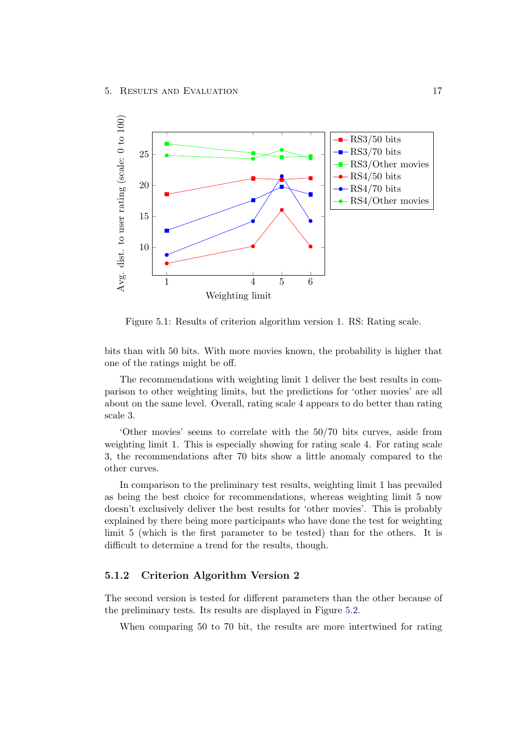

<span id="page-21-1"></span>Figure 5.1: Results of criterion algorithm version 1. RS: Rating scale.

bits than with 50 bits. With more movies known, the probability is higher that one of the ratings might be off.

The recommendations with weighting limit 1 deliver the best results in comparison to other weighting limits, but the predictions for 'other movies' are all about on the same level. Overall, rating scale 4 appears to do better than rating scale 3.

'Other movies' seems to correlate with the 50/70 bits curves, aside from weighting limit 1. This is especially showing for rating scale 4. For rating scale 3, the recommendations after 70 bits show a little anomaly compared to the other curves.

In comparison to the preliminary test results, weighting limit 1 has prevailed as being the best choice for recommendations, whereas weighting limit 5 now doesn't exclusively deliver the best results for 'other movies'. This is probably explained by there being more participants who have done the test for weighting limit 5 (which is the first parameter to be tested) than for the others. It is difficult to determine a trend for the results, though.

#### <span id="page-21-0"></span>5.1.2 Criterion Algorithm Version 2

The second version is tested for different parameters than the other because of the preliminary tests. Its results are displayed in Figure [5.2.](#page-22-0)

When comparing 50 to 70 bit, the results are more intertwined for rating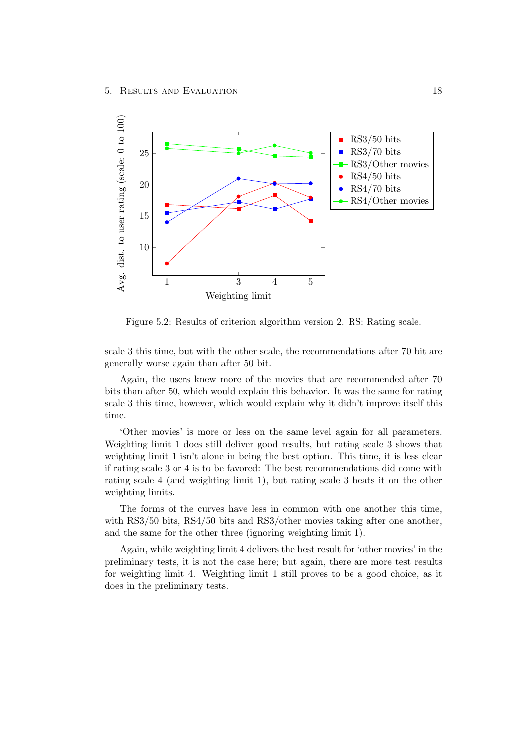

<span id="page-22-0"></span>Figure 5.2: Results of criterion algorithm version 2. RS: Rating scale.

scale 3 this time, but with the other scale, the recommendations after 70 bit are generally worse again than after 50 bit.

Again, the users knew more of the movies that are recommended after 70 bits than after 50, which would explain this behavior. It was the same for rating scale 3 this time, however, which would explain why it didn't improve itself this time.

'Other movies' is more or less on the same level again for all parameters. Weighting limit 1 does still deliver good results, but rating scale 3 shows that weighting limit 1 isn't alone in being the best option. This time, it is less clear if rating scale 3 or 4 is to be favored: The best recommendations did come with rating scale 4 (and weighting limit 1), but rating scale 3 beats it on the other weighting limits.

The forms of the curves have less in common with one another this time, with RS3/50 bits, RS4/50 bits and RS3/other movies taking after one another, and the same for the other three (ignoring weighting limit 1).

Again, while weighting limit 4 delivers the best result for 'other movies' in the preliminary tests, it is not the case here; but again, there are more test results for weighting limit 4. Weighting limit 1 still proves to be a good choice, as it does in the preliminary tests.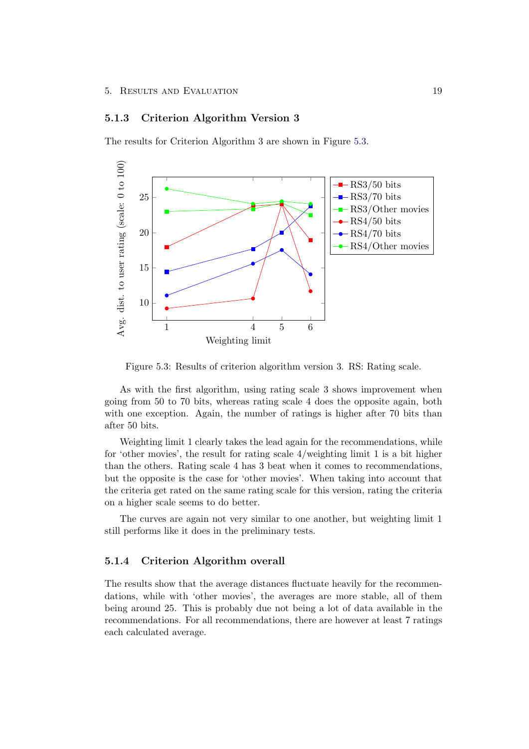#### <span id="page-23-0"></span>5.1.3 Criterion Algorithm Version 3

The results for Criterion Algorithm 3 are shown in Figure [5.3.](#page-23-2)



<span id="page-23-2"></span>Figure 5.3: Results of criterion algorithm version 3. RS: Rating scale.

As with the first algorithm, using rating scale 3 shows improvement when going from 50 to 70 bits, whereas rating scale 4 does the opposite again, both with one exception. Again, the number of ratings is higher after 70 bits than after 50 bits.

Weighting limit 1 clearly takes the lead again for the recommendations, while for 'other movies', the result for rating scale 4/weighting limit 1 is a bit higher than the others. Rating scale 4 has 3 beat when it comes to recommendations, but the opposite is the case for 'other movies'. When taking into account that the criteria get rated on the same rating scale for this version, rating the criteria on a higher scale seems to do better.

The curves are again not very similar to one another, but weighting limit 1 still performs like it does in the preliminary tests.

#### <span id="page-23-1"></span>5.1.4 Criterion Algorithm overall

The results show that the average distances fluctuate heavily for the recommendations, while with 'other movies', the averages are more stable, all of them being around 25. This is probably due not being a lot of data available in the recommendations. For all recommendations, there are however at least 7 ratings each calculated average.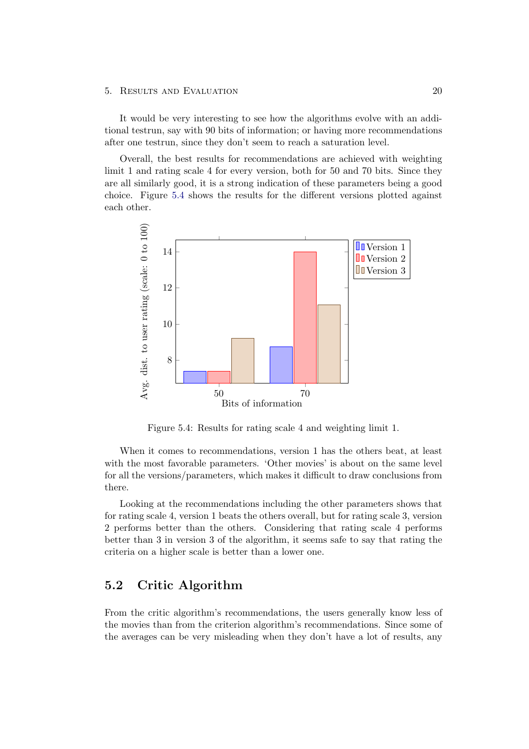#### 5. Results and Evaluation 20

It would be very interesting to see how the algorithms evolve with an additional testrun, say with 90 bits of information; or having more recommendations after one testrun, since they don't seem to reach a saturation level.

Overall, the best results for recommendations are achieved with weighting limit 1 and rating scale 4 for every version, both for 50 and 70 bits. Since they are all similarly good, it is a strong indication of these parameters being a good choice. Figure [5.4](#page-24-1) shows the results for the different versions plotted against each other.



<span id="page-24-1"></span>Figure 5.4: Results for rating scale 4 and weighting limit 1.

When it comes to recommendations, version 1 has the others beat, at least with the most favorable parameters. 'Other movies' is about on the same level for all the versions/parameters, which makes it difficult to draw conclusions from there.

Looking at the recommendations including the other parameters shows that for rating scale 4, version 1 beats the others overall, but for rating scale 3, version 2 performs better than the others. Considering that rating scale 4 performs better than 3 in version 3 of the algorithm, it seems safe to say that rating the criteria on a higher scale is better than a lower one.

### <span id="page-24-0"></span>5.2 Critic Algorithm

From the critic algorithm's recommendations, the users generally know less of the movies than from the criterion algorithm's recommendations. Since some of the averages can be very misleading when they don't have a lot of results, any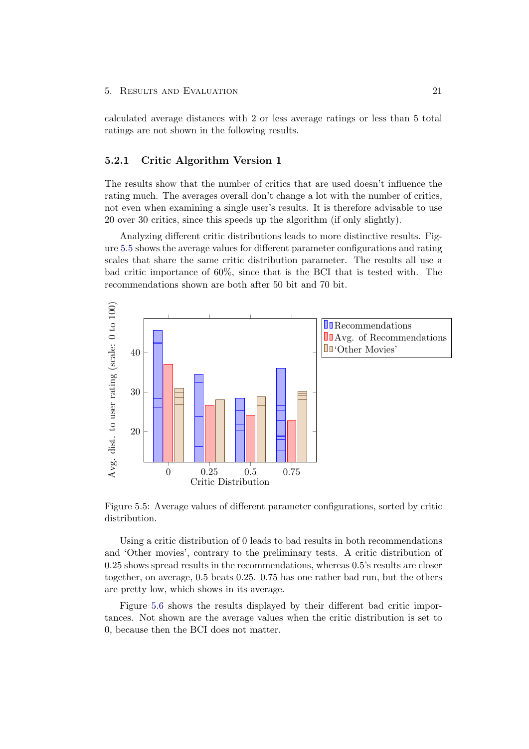#### 5. RESULTS AND EVALUATION 21

calculated average distances with 2 or less average ratings or less than 5 total ratings are not shown in the following results.

#### <span id="page-25-0"></span>5.2.1 Critic Algorithm Version 1

The results show that the number of critics that are used doesn't influence the rating much. The averages overall don't change a lot with the number of critics, not even when examining a single user's results. It is therefore advisable to use 20 over 30 critics, since this speeds up the algorithm (if only slightly).

Analyzing different critic distributions leads to more distinctive results. Figure [5.5](#page-25-1) shows the average values for different parameter configurations and rating scales that share the same critic distribution parameter. The results all use a bad critic importance of 60%, since that is the BCI that is tested with. The recommendations shown are both after 50 bit and 70 bit.



<span id="page-25-1"></span>Figure 5.5: Average values of different parameter configurations, sorted by critic distribution.

Using a critic distribution of 0 leads to bad results in both recommendations and 'Other movies', contrary to the preliminary tests. A critic distribution of 0.25 shows spread results in the recommendations, whereas 0.5's results are closer together, on average, 0.5 beats 0.25. 0.75 has one rather bad run, but the others are pretty low, which shows in its average.

Figure [5.6](#page-26-0) shows the results displayed by their different bad critic importances. Not shown are the average values when the critic distribution is set to 0, because then the BCI does not matter.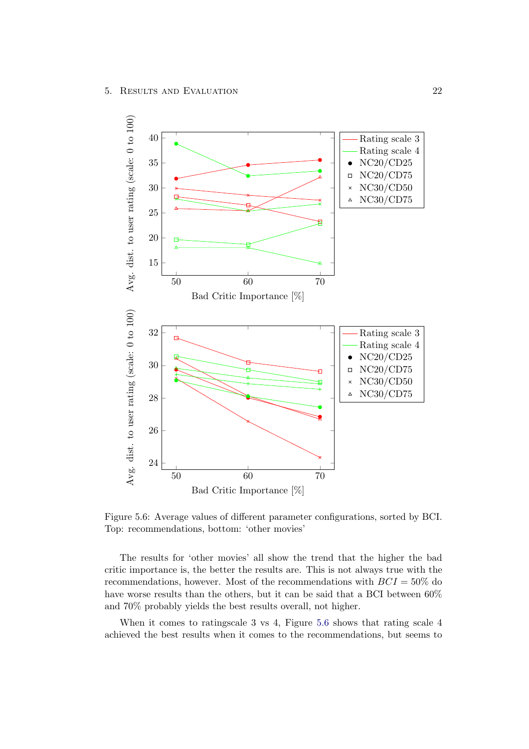

<span id="page-26-0"></span>Figure 5.6: Average values of different parameter configurations, sorted by BCI. Top: recommendations, bottom: 'other movies'

The results for 'other movies' all show the trend that the higher the bad critic importance is, the better the results are. This is not always true with the recommendations, however. Most of the recommendations with  $BCI = 50\%$  do have worse results than the others, but it can be said that a BCI between  $60\%$ and 70% probably yields the best results overall, not higher.

When it comes to ratingscale 3 vs 4, Figure [5.6](#page-26-0) shows that rating scale 4 achieved the best results when it comes to the recommendations, but seems to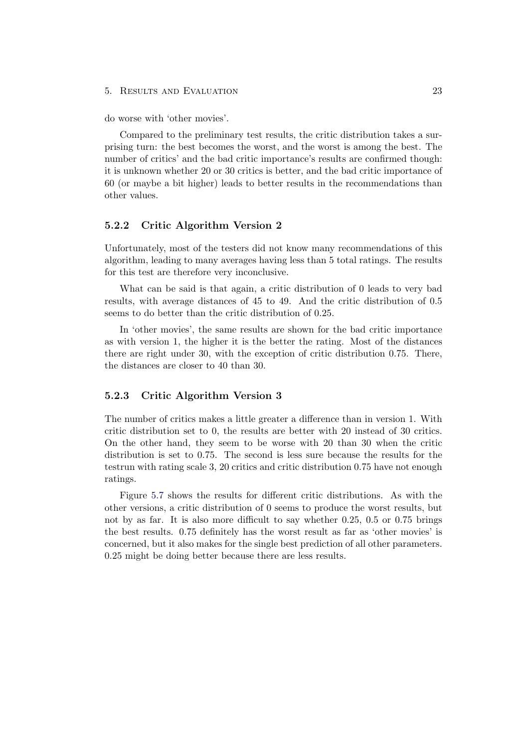#### 5. Results and Evaluation 23

do worse with 'other movies'.

Compared to the preliminary test results, the critic distribution takes a surprising turn: the best becomes the worst, and the worst is among the best. The number of critics' and the bad critic importance's results are confirmed though: it is unknown whether 20 or 30 critics is better, and the bad critic importance of 60 (or maybe a bit higher) leads to better results in the recommendations than other values.

#### <span id="page-27-0"></span>5.2.2 Critic Algorithm Version 2

Unfortunately, most of the testers did not know many recommendations of this algorithm, leading to many averages having less than 5 total ratings. The results for this test are therefore very inconclusive.

What can be said is that again, a critic distribution of 0 leads to very bad results, with average distances of 45 to 49. And the critic distribution of 0.5 seems to do better than the critic distribution of 0.25.

In 'other movies', the same results are shown for the bad critic importance as with version 1, the higher it is the better the rating. Most of the distances there are right under 30, with the exception of critic distribution 0.75. There, the distances are closer to 40 than 30.

#### <span id="page-27-1"></span>5.2.3 Critic Algorithm Version 3

The number of critics makes a little greater a difference than in version 1. With critic distribution set to 0, the results are better with 20 instead of 30 critics. On the other hand, they seem to be worse with 20 than 30 when the critic distribution is set to 0.75. The second is less sure because the results for the testrun with rating scale 3, 20 critics and critic distribution 0.75 have not enough ratings.

Figure [5.7](#page-28-0) shows the results for different critic distributions. As with the other versions, a critic distribution of 0 seems to produce the worst results, but not by as far. It is also more difficult to say whether 0.25, 0.5 or 0.75 brings the best results. 0.75 definitely has the worst result as far as 'other movies' is concerned, but it also makes for the single best prediction of all other parameters. 0.25 might be doing better because there are less results.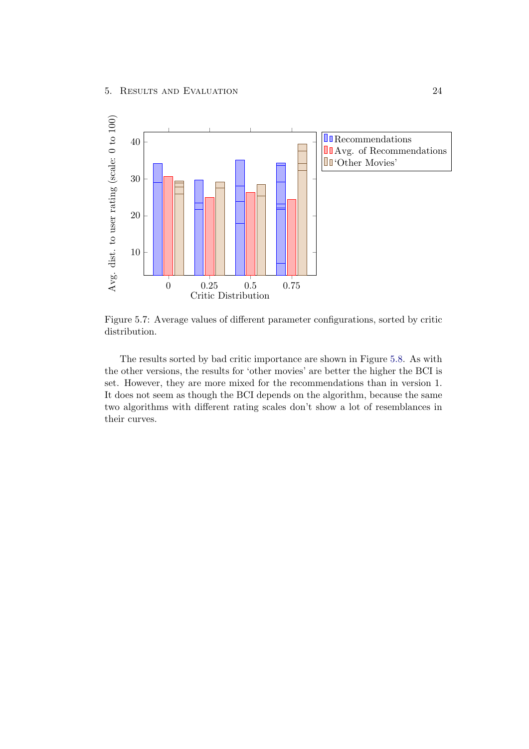

<span id="page-28-0"></span>Figure 5.7: Average values of different parameter configurations, sorted by critic distribution.

The results sorted by bad critic importance are shown in Figure [5.8.](#page-29-1) As with the other versions, the results for 'other movies' are better the higher the BCI is set. However, they are more mixed for the recommendations than in version 1. It does not seem as though the BCI depends on the algorithm, because the same two algorithms with different rating scales don't show a lot of resemblances in their curves.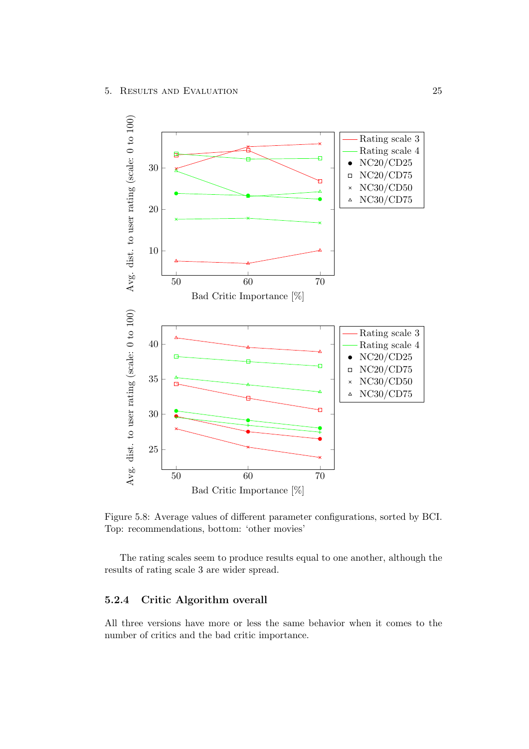

<span id="page-29-1"></span>Figure 5.8: Average values of different parameter configurations, sorted by BCI. Top: recommendations, bottom: 'other movies'

The rating scales seem to produce results equal to one another, although the results of rating scale 3 are wider spread.

### <span id="page-29-0"></span>5.2.4 Critic Algorithm overall

All three versions have more or less the same behavior when it comes to the number of critics and the bad critic importance.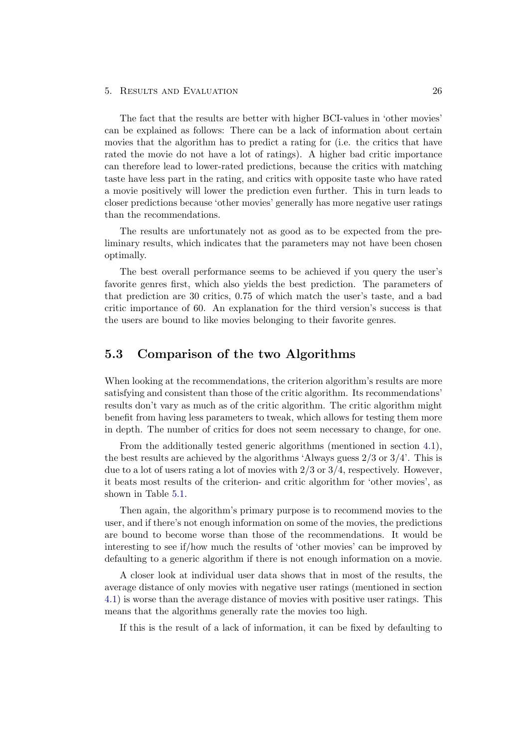#### 5. Results and Evaluation 26

The fact that the results are better with higher BCI-values in 'other movies' can be explained as follows: There can be a lack of information about certain movies that the algorithm has to predict a rating for (i.e. the critics that have rated the movie do not have a lot of ratings). A higher bad critic importance can therefore lead to lower-rated predictions, because the critics with matching taste have less part in the rating, and critics with opposite taste who have rated a movie positively will lower the prediction even further. This in turn leads to closer predictions because 'other movies' generally has more negative user ratings than the recommendations.

The results are unfortunately not as good as to be expected from the preliminary results, which indicates that the parameters may not have been chosen optimally.

The best overall performance seems to be achieved if you query the user's favorite genres first, which also yields the best prediction. The parameters of that prediction are 30 critics, 0.75 of which match the user's taste, and a bad critic importance of 60. An explanation for the third version's success is that the users are bound to like movies belonging to their favorite genres.

### <span id="page-30-0"></span>5.3 Comparison of the two Algorithms

When looking at the recommendations, the criterion algorithm's results are more satisfying and consistent than those of the critic algorithm. Its recommendations' results don't vary as much as of the critic algorithm. The critic algorithm might benefit from having less parameters to tweak, which allows for testing them more in depth. The number of critics for does not seem necessary to change, for one.

From the additionally tested generic algorithms (mentioned in section [4.1\)](#page-16-1), the best results are achieved by the algorithms 'Always guess 2/3 or 3/4'. This is due to a lot of users rating a lot of movies with  $2/3$  or  $3/4$ , respectively. However, it beats most results of the criterion- and critic algorithm for 'other movies', as shown in Table [5.1.](#page-31-0)

Then again, the algorithm's primary purpose is to recommend movies to the user, and if there's not enough information on some of the movies, the predictions are bound to become worse than those of the recommendations. It would be interesting to see if/how much the results of 'other movies' can be improved by defaulting to a generic algorithm if there is not enough information on a movie.

A closer look at individual user data shows that in most of the results, the average distance of only movies with negative user ratings (mentioned in section [4.1\)](#page-16-1) is worse than the average distance of movies with positive user ratings. This means that the algorithms generally rate the movies too high.

If this is the result of a lack of information, it can be fixed by defaulting to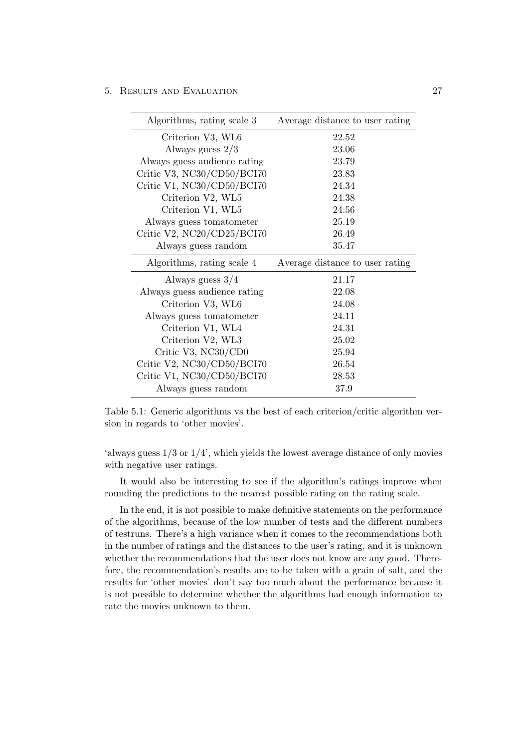5. Results and Evaluation 27

| Algorithms, rating scale 3   | Average distance to user rating |
|------------------------------|---------------------------------|
| Criterion V3, WL6            | 22.52                           |
| Always guess $2/3$           | 23.06                           |
| Always guess audience rating | 23.79                           |
| Critic V3, NC30/CD50/BCI70   | 23.83                           |
| Critic V1, NC30/CD50/BCI70   | 24.34                           |
| Criterion V2, WL5            | 24.38                           |
| Criterion V1, WL5            | 24.56                           |
| Always guess to matometer    | 25.19                           |
| Critic V2, NC20/CD25/BCI70   | 26.49                           |
| Always guess random          | 35.47                           |
|                              |                                 |
| Algorithms, rating scale 4   | Average distance to user rating |
| Always guess $3/4$           | 21.17                           |
| Always guess audience rating | 22.08                           |
| Criterion V3, WL6            | 24.08                           |
| Always guess tomatometer     | 24.11                           |
| Criterion V1, WL4            | 24.31                           |
| Criterion V2, WL3            | 25.02                           |
| Critic V3, NC30/CD0          | 25.94                           |
| Critic V2, NC30/CD50/BCI70   | 26.54                           |
| Critic V1, NC30/CD50/BCI70   | 28.53                           |

<span id="page-31-0"></span>Table 5.1: Generic algorithms vs the best of each criterion/critic algorithm version in regards to 'other movies'.

'always guess 1/3 or 1/4', which yields the lowest average distance of only movies with negative user ratings.

It would also be interesting to see if the algorithm's ratings improve when rounding the predictions to the nearest possible rating on the rating scale.

In the end, it is not possible to make definitive statements on the performance of the algorithms, because of the low number of tests and the different numbers of testruns. There's a high variance when it comes to the recommendations both in the number of ratings and the distances to the user's rating, and it is unknown whether the recommendations that the user does not know are any good. Therefore, the recommendation's results are to be taken with a grain of salt, and the results for 'other movies' don't say too much about the performance because it is not possible to determine whether the algorithms had enough information to rate the movies unknown to them.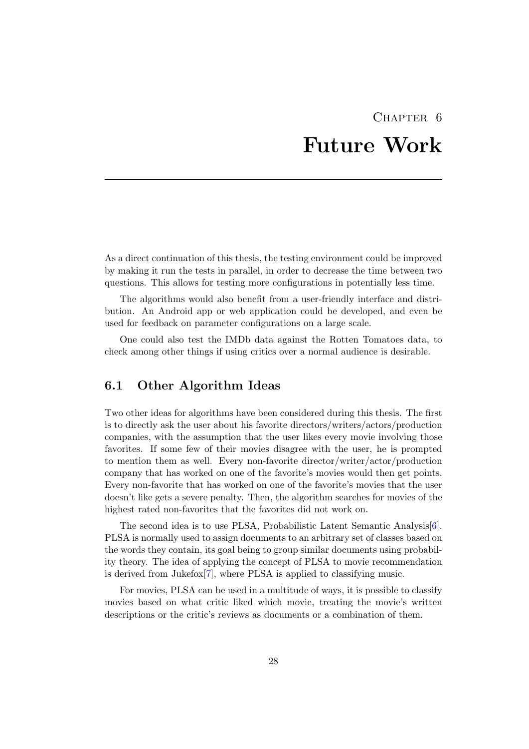# CHAPTER<sub>6</sub> Future Work

<span id="page-32-0"></span>As a direct continuation of this thesis, the testing environment could be improved by making it run the tests in parallel, in order to decrease the time between two questions. This allows for testing more configurations in potentially less time.

The algorithms would also benefit from a user-friendly interface and distribution. An Android app or web application could be developed, and even be used for feedback on parameter configurations on a large scale.

One could also test the IMDb data against the Rotten Tomatoes data, to check among other things if using critics over a normal audience is desirable.

### <span id="page-32-1"></span>6.1 Other Algorithm Ideas

Two other ideas for algorithms have been considered during this thesis. The first is to directly ask the user about his favorite directors/writers/actors/production companies, with the assumption that the user likes every movie involving those favorites. If some few of their movies disagree with the user, he is prompted to mention them as well. Every non-favorite director/writer/actor/production company that has worked on one of the favorite's movies would then get points. Every non-favorite that has worked on one of the favorite's movies that the user doesn't like gets a severe penalty. Then, the algorithm searches for movies of the highest rated non-favorites that the favorites did not work on.

The second idea is to use PLSA, Probabilistic Latent Semantic Analysis[\[6\]](#page-33-6). PLSA is normally used to assign documents to an arbitrary set of classes based on the words they contain, its goal being to group similar documents using probability theory. The idea of applying the concept of PLSA to movie recommendation is derived from Jukefox[\[7\]](#page-33-7), where PLSA is applied to classifying music.

For movies, PLSA can be used in a multitude of ways, it is possible to classify movies based on what critic liked which movie, treating the movie's written descriptions or the critic's reviews as documents or a combination of them.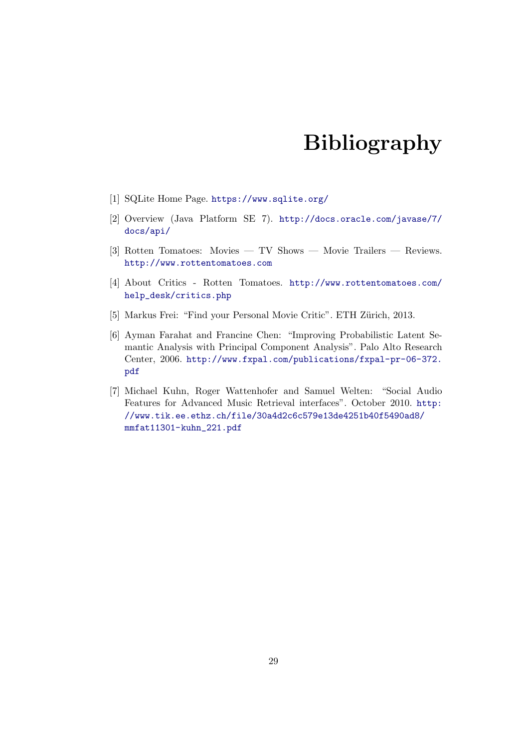# Bibliography

- <span id="page-33-2"></span><span id="page-33-0"></span>[1] SQLite Home Page. <https://www.sqlite.org/>
- <span id="page-33-1"></span>[2] Overview (Java Platform SE 7). [http://docs.oracle.com/javase/7/](http://docs.oracle.com/javase/7/docs/api/) [docs/api/](http://docs.oracle.com/javase/7/docs/api/)
- <span id="page-33-3"></span>[3] Rotten Tomatoes: Movies — TV Shows — Movie Trailers — Reviews. <http://www.rottentomatoes.com>
- <span id="page-33-4"></span>[4] About Critics - Rotten Tomatoes. [http://www.rottentomatoes.com/](http://www.rottentomatoes.com/help_desk/critics.php) [help\\_desk/critics.php](http://www.rottentomatoes.com/help_desk/critics.php)
- <span id="page-33-5"></span>[5] Markus Frei: "Find your Personal Movie Critic". ETH Zürich, 2013.
- <span id="page-33-6"></span>[6] Ayman Farahat and Francine Chen: "Improving Probabilistic Latent Semantic Analysis with Principal Component Analysis". Palo Alto Research Center, 2006. [http://www.fxpal.com/publications/fxpal-pr-06-372.](http://www.fxpal.com/publications/fxpal-pr-06-372.pdf) [pdf](http://www.fxpal.com/publications/fxpal-pr-06-372.pdf)
- <span id="page-33-7"></span>[7] Michael Kuhn, Roger Wattenhofer and Samuel Welten: "Social Audio Features for Advanced Music Retrieval interfaces". October 2010. [http:](http://www.tik.ee.ethz.ch/file/30a4d2c6c579e13de4251b40f5490ad8/mmfat11301-kuhn_221.pdf) [//www.tik.ee.ethz.ch/file/30a4d2c6c579e13de4251b40f5490ad8/](http://www.tik.ee.ethz.ch/file/30a4d2c6c579e13de4251b40f5490ad8/mmfat11301-kuhn_221.pdf) [mmfat11301-kuhn\\_221.pdf](http://www.tik.ee.ethz.ch/file/30a4d2c6c579e13de4251b40f5490ad8/mmfat11301-kuhn_221.pdf)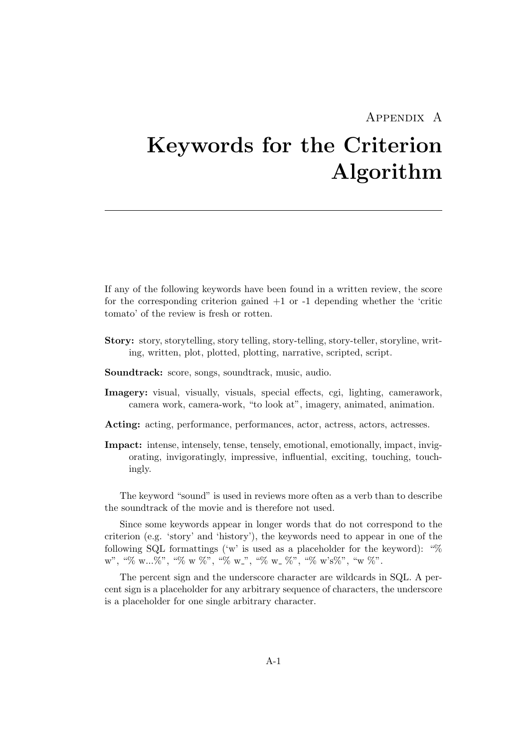### Appendix A

# <span id="page-34-0"></span>Keywords for the Criterion Algorithm

If any of the following keywords have been found in a written review, the score for the corresponding criterion gained  $+1$  or  $-1$  depending whether the 'critic tomato' of the review is fresh or rotten.

- Story: story, storytelling, story telling, story-telling, story-teller, storyline, writing, written, plot, plotted, plotting, narrative, scripted, script.
- Soundtrack: score, songs, soundtrack, music, audio.
- Imagery: visual, visually, visuals, special effects, cgi, lighting, camerawork, camera work, camera-work, "to look at", imagery, animated, animation.
- Acting: acting, performance, performances, actor, actress, actors, actresses.
- Impact: intense, intensely, tense, tensely, emotional, emotionally, impact, invigorating, invigoratingly, impressive, influential, exciting, touching, touchingly.

The keyword "sound" is used in reviews more often as a verb than to describe the soundtrack of the movie and is therefore not used.

Since some keywords appear in longer words that do not correspond to the criterion (e.g. 'story' and 'history'), the keywords need to appear in one of the following SQL formattings ('w' is used as a placeholder for the keyword): "%  $w''$ , "%  $w...$ %", "%  $w$  %", "%  $w_2$ ", "%  $w_3$ ", "%  $w'$ ", "%  $w''$ ".

The percent sign and the underscore character are wildcards in SQL. A percent sign is a placeholder for any arbitrary sequence of characters, the underscore is a placeholder for one single arbitrary character.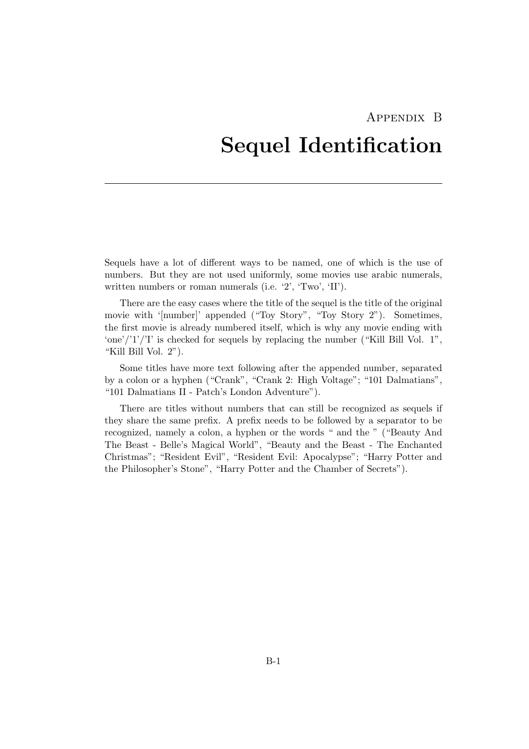# <span id="page-35-0"></span>Appendix B Sequel Identification

Sequels have a lot of different ways to be named, one of which is the use of numbers. But they are not used uniformly, some movies use arabic numerals, written numbers or roman numerals (i.e. '2', 'Two', 'II').

There are the easy cases where the title of the sequel is the title of the original movie with '[number]' appended ("Toy Story", "Toy Story 2"). Sometimes, the first movie is already numbered itself, which is why any movie ending with 'one'/'1'/'I' is checked for sequels by replacing the number ("Kill Bill Vol.  $1$ ", "Kill Bill Vol. 2").

Some titles have more text following after the appended number, separated by a colon or a hyphen ("Crank", "Crank 2: High Voltage"; "101 Dalmatians", "101 Dalmatians II - Patch's London Adventure").

There are titles without numbers that can still be recognized as sequels if they share the same prefix. A prefix needs to be followed by a separator to be recognized, namely a colon, a hyphen or the words " and the " ("Beauty And The Beast - Belle's Magical World", "Beauty and the Beast - The Enchanted Christmas"; "Resident Evil", "Resident Evil: Apocalypse"; "Harry Potter and the Philosopher's Stone", "Harry Potter and the Chamber of Secrets").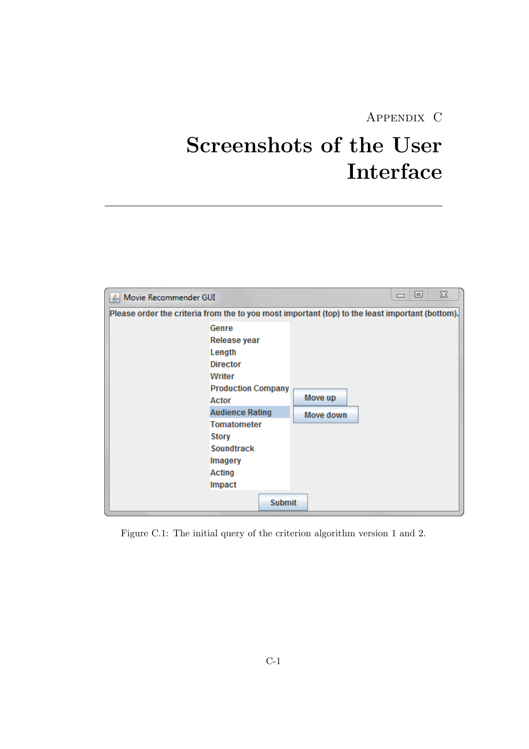## Appendix C

# <span id="page-36-0"></span>Screenshots of the User Interface

| Movie Recommender GUI                                                                                                                                                                                                                          | X<br>▣               |
|------------------------------------------------------------------------------------------------------------------------------------------------------------------------------------------------------------------------------------------------|----------------------|
| Please order the criteria from the to you most important (top) to the least important (bottom).                                                                                                                                                |                      |
| Genre<br>Release year<br>Length<br><b>Director</b><br>Writer<br><b>Production Company</b><br>Actor<br><b>Audience Rating</b><br><b>Tomatometer</b><br>Story<br>Soundtrack<br><b>Imagery</b><br><b>Acting</b><br><b>Impact</b><br><b>Submit</b> | Move up<br>Move down |

Figure C.1: The initial query of the criterion algorithm version 1 and 2.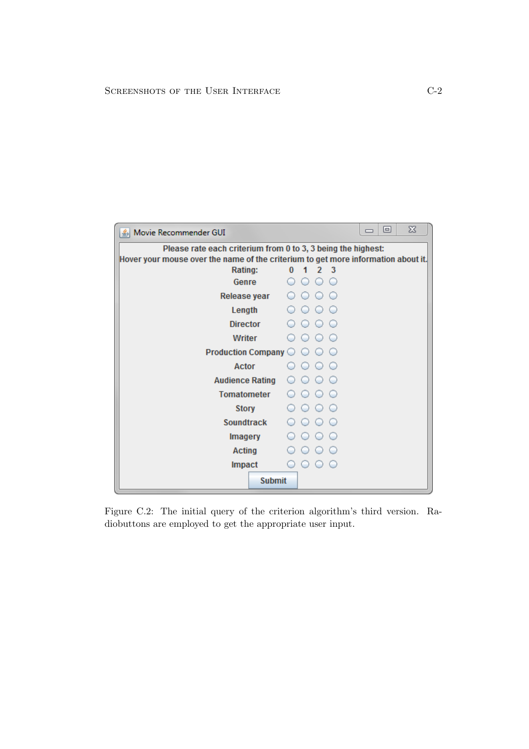| Movie Recommender GUI<br>≚⊵ા                                                                 |          |            |               |   |  | 冋 | ΣŜ |
|----------------------------------------------------------------------------------------------|----------|------------|---------------|---|--|---|----|
| Please rate each criterium from 0 to 3, 3 being the highest:                                 |          |            |               |   |  |   |    |
| Hover your mouse over the name of the criterium to get more information about it.<br>Rating: | $\Omega$ |            | $\mathcal{P}$ | 3 |  |   |    |
| Genre                                                                                        |          |            |               |   |  |   |    |
| Release year                                                                                 |          |            |               |   |  |   |    |
| Length                                                                                       |          | $\bigcirc$ |               |   |  |   |    |
| <b>Director</b>                                                                              |          |            |               |   |  |   |    |
| Writer                                                                                       |          |            |               |   |  |   |    |
| Production Company $\bigcirc \bigcirc \bigcirc$                                              |          |            |               |   |  |   |    |
| Actor                                                                                        |          |            |               |   |  |   |    |
| <b>Audience Rating</b>                                                                       |          |            |               |   |  |   |    |
| <b>Tomatometer</b>                                                                           |          |            |               |   |  |   |    |
| Story                                                                                        |          |            |               |   |  |   |    |
| <b>Soundtrack</b>                                                                            |          |            |               |   |  |   |    |
| <b>Imagery</b>                                                                               |          |            |               |   |  |   |    |
| <b>Acting</b>                                                                                |          |            |               |   |  |   |    |
| <b>Impact</b>                                                                                |          |            |               |   |  |   |    |
| <b>Submit</b>                                                                                |          |            |               |   |  |   |    |

Figure C.2: The initial query of the criterion algorithm's third version. Radiobuttons are employed to get the appropriate user input.